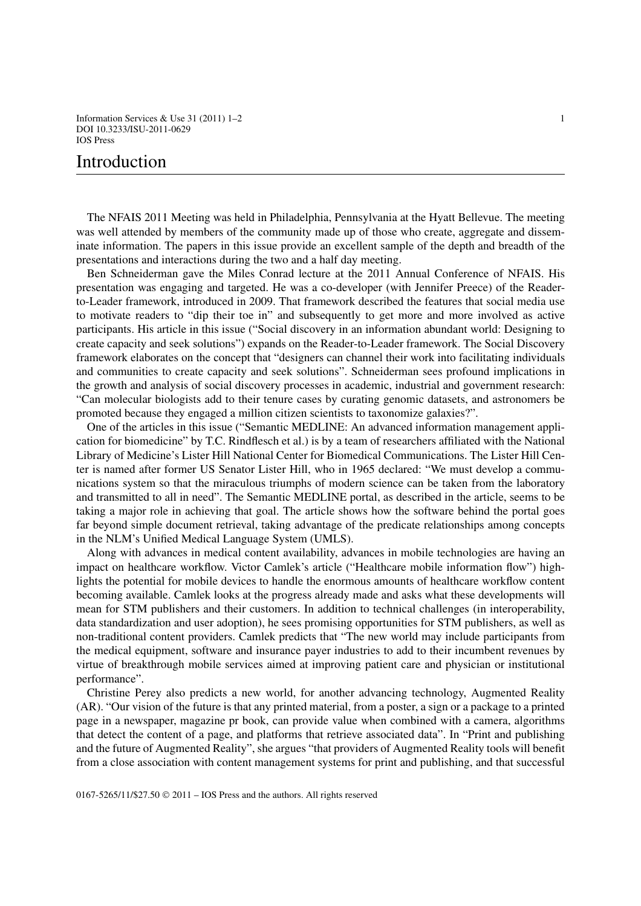Information Services & Use 31 (2011)  $1-2$  1 DOI 10.3233/ISU-2011-0629 IOS Press

## Introduction

The NFAIS 2011 Meeting was held in Philadelphia, Pennsylvania at the Hyatt Bellevue. The meeting was well attended by members of the community made up of those who create, aggregate and disseminate information. The papers in this issue provide an excellent sample of the depth and breadth of the presentations and interactions during the two and a half day meeting.

Ben Schneiderman gave the Miles Conrad lecture at the 2011 Annual Conference of NFAIS. His presentation was engaging and targeted. He was a co-developer (with Jennifer Preece) of the Readerto-Leader framework, introduced in 2009. That framework described the features that social media use to motivate readers to "dip their toe in" and subsequently to get more and more involved as active participants. His article in this issue ("Social discovery in an information abundant world: Designing to create capacity and seek solutions") expands on the Reader-to-Leader framework. The Social Discovery framework elaborates on the concept that "designers can channel their work into facilitating individuals and communities to create capacity and seek solutions". Schneiderman sees profound implications in the growth and analysis of social discovery processes in academic, industrial and government research: "Can molecular biologists add to their tenure cases by curating genomic datasets, and astronomers be promoted because they engaged a million citizen scientists to taxonomize galaxies?".

One of the articles in this issue ("Semantic MEDLINE: An advanced information management application for biomedicine" by T.C. Rindflesch et al.) is by a team of researchers affiliated with the National Library of Medicine's Lister Hill National Center for Biomedical Communications. The Lister Hill Center is named after former US Senator Lister Hill, who in 1965 declared: "We must develop a communications system so that the miraculous triumphs of modern science can be taken from the laboratory and transmitted to all in need". The Semantic MEDLINE portal, as described in the article, seems to be taking a major role in achieving that goal. The article shows how the software behind the portal goes far beyond simple document retrieval, taking advantage of the predicate relationships among concepts in the NLM's Unified Medical Language System (UMLS).

Along with advances in medical content availability, advances in mobile technologies are having an impact on healthcare workflow. Victor Camlek's article ("Healthcare mobile information flow") highlights the potential for mobile devices to handle the enormous amounts of healthcare workflow content becoming available. Camlek looks at the progress already made and asks what these developments will mean for STM publishers and their customers. In addition to technical challenges (in interoperability, data standardization and user adoption), he sees promising opportunities for STM publishers, as well as non-traditional content providers. Camlek predicts that "The new world may include participants from the medical equipment, software and insurance payer industries to add to their incumbent revenues by virtue of breakthrough mobile services aimed at improving patient care and physician or institutional performance".

Christine Perey also predicts a new world, for another advancing technology, Augmented Reality (AR). "Our vision of the future is that any printed material, from a poster, a sign or a package to a printed page in a newspaper, magazine pr book, can provide value when combined with a camera, algorithms that detect the content of a page, and platforms that retrieve associated data". In "Print and publishing and the future of Augmented Reality", she argues "that providers of Augmented Reality tools will benefit from a close association with content management systems for print and publishing, and that successful

0167-5265/11/\$27.50 © 2011 – IOS Press and the authors. All rights reserved